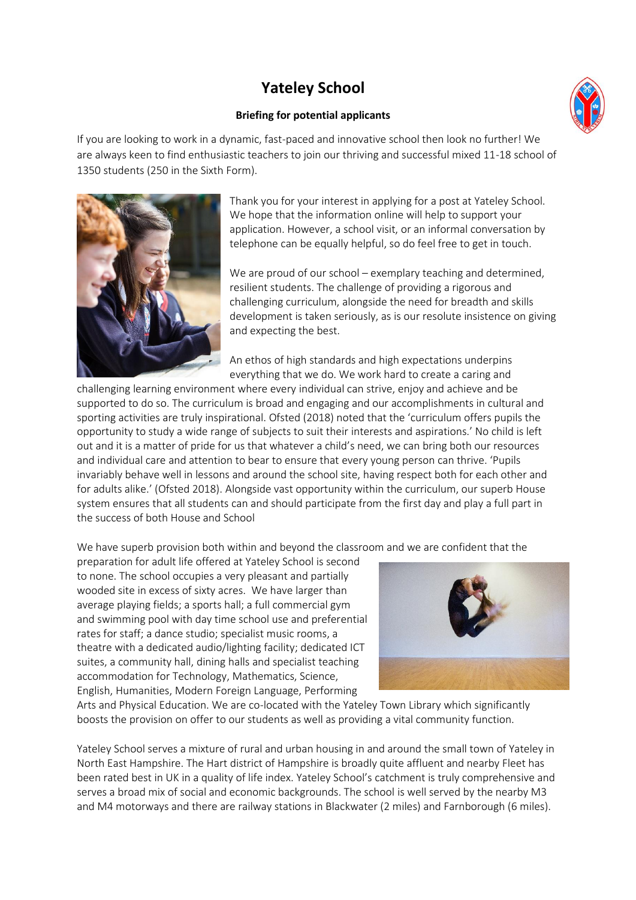## **Yateley School**

## **Briefing for potential applicants**

If you are looking to work in a dynamic, fast-paced and innovative school then look no further! We are always keen to find enthusiastic teachers to join our thriving and successful mixed 11-18 school of 1350 students (250 in the Sixth Form).



Thank you for your interest in applying for a post at Yateley School. We hope that the information online will help to support your application. However, a school visit, or an informal conversation by telephone can be equally helpful, so do feel free to get in touch.

We are proud of our school – exemplary teaching and determined, resilient students. The challenge of providing a rigorous and challenging curriculum, alongside the need for breadth and skills development is taken seriously, as is our resolute insistence on giving and expecting the best.

An ethos of high standards and high expectations underpins everything that we do. We work hard to create a caring and

challenging learning environment where every individual can strive, enjoy and achieve and be supported to do so. The curriculum is broad and engaging and our accomplishments in cultural and sporting activities are truly inspirational. Ofsted (2018) noted that the 'curriculum offers pupils the opportunity to study a wide range of subjects to suit their interests and aspirations.' No child is left out and it is a matter of pride for us that whatever a child's need, we can bring both our resources and individual care and attention to bear to ensure that every young person can thrive. 'Pupils invariably behave well in lessons and around the school site, having respect both for each other and for adults alike.' (Ofsted 2018). Alongside vast opportunity within the curriculum, our superb House system ensures that all students can and should participate from the first day and play a full part in the success of both House and School

We have superb provision both within and beyond the classroom and we are confident that the

preparation for adult life offered at Yateley School is second to none. The school occupies a very pleasant and partially wooded site in excess of sixty acres. We have larger than average playing fields; a sports hall; a full commercial gym and swimming pool with day time school use and preferential rates for staff; a dance studio; specialist music rooms, a theatre with a dedicated audio/lighting facility; dedicated ICT suites, a community hall, dining halls and specialist teaching accommodation for Technology, Mathematics, Science, English, Humanities, Modern Foreign Language, Performing



Arts and Physical Education. We are co-located with the Yateley Town Library which significantly boosts the provision on offer to our students as well as providing a vital community function.

Yateley School serves a mixture of rural and urban housing in and around the small town of Yateley in North East Hampshire. The Hart district of Hampshire is broadly quite affluent and nearby Fleet has been rated best in UK in a quality of life index. Yateley School's catchment is truly comprehensive and serves a broad mix of social and economic backgrounds. The school is well served by the nearby M3 and M4 motorways and there are railway stations in Blackwater (2 miles) and Farnborough (6 miles).